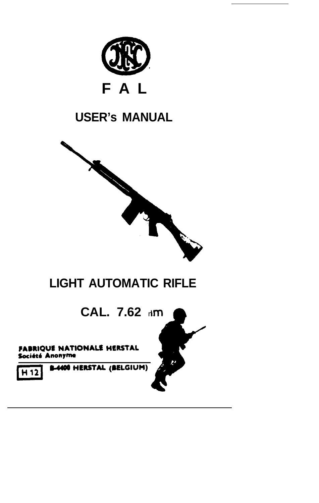

# **USER's MANUAL**



# **LIGHT AUTOMATIC RIFLE**

# **CAL. 7.62** m m

Société Anonyme<br>H 12 **B-4400** FABRIQUE NATIONALE HERSTAL



H12 B-4400 HERSTAL (BELGIUM)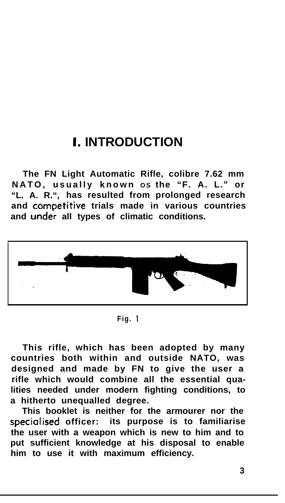## **I. INTRODUCTION**

**The FN Light Automatic Rifle, colibre 7.62 mm NATO, usually known OS the "F. A. L." or "L. A. R.", has resulted from prolonged research and comoetitive trials made in various countries and unde; all types of climatic conditions.**



**Fig.** <sup>I</sup>

**This rifle, which has been adopted by many countries both within and outside NATO, was designed and made by FN to give the user a rifle which would combine all the essential qualities needed under modern fighting conditions, to a hitherto unequalled degree.**

**This booklet is neither for the armourer nor the specialised officer: its purpose is to familiarise the user with a weapon which is new to him and to put sufficient knowledge at his disposal to enable him to use it with maximum efficiency.**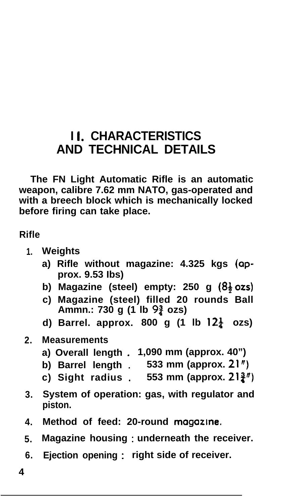# **I I. CHARACTERISTICS AND TECHNICAL DETAILS**

**The FN Light Automatic Rifle is an automatic weapon, calibre 7.62 mm NATO, gas-operated and with a breech block which is mechanically locked before firing can take place.**

**Rifle**

- **1. Weights**
	- **a) Rifle without magazine: 4.325 kgs (approx. 9.53 Ibs)**
	- **b) Magazine (steel) empty: 250 g (8+ ots)**
	- **c) Magazine (steel) filled 20 rounds Ball Ammn.: 730 g (1 lb 98 ozs)**
	- **d)** Barrel. approx. 800 g (1 lb  $12\frac{1}{4}$  ozs)
- **2. Measurements**
	- **a) Overall length** . **1,090 mm (approx. 40")**
	- **b) Barrel length . 533 mm (approx. 21")**
	- **c) Sight radius** . **553 mm (approx. 21\$")**
- **3. System of operation: gas, with regulator and piston.**
- **4. Method of feed: 20-round magazine.**
- **5. Magazine housing** : **underneath the receiver.**
- **6. Ejection opening** : **right side of receiver.**

**4**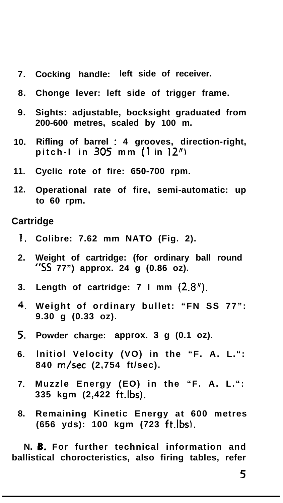- **7. Cocking handle: left side of receiver.**
- **8. Chonge lever: left side of trigger frame.**
- **9. Sights: adjustable, bocksight graduated from 200-600 metres, scaled by 100 m.**
- **10. Rifling of barrel** : **4 grooves, direction-right, pitch-l in 305 mm** (1 **in 12"!**
- **11. Cyclic rote of fire: 650-700 rpm.**
- **12. Operational rate of fire, semi-automatic: up to 60 rpm.**

**Cartridge**

- 1. **Colibre: 7.62 mm NATO (Fig. 2).**
- **2. Weight of cartridge: (for ordinary ball round "SS 77") approx. 24 g (0.86 oz).**
- **3. Length of cartridge: 7 I mm (2.8").**
- 4. **Weight of ordinary bullet: "FN SS 77": 9.30 g (0.33 oz).**
- 5. **Powder charge: approx. 3 g (0.1 oz).**
- **6. lnitiol Velocity (VO) in the "F. A. L.": 840 m/set (2,754 ft/sec).**
- **7. Muzzle Energy (EO) in the "F. A. L.": 335 kgm (2,422 ft.lbs).**
- **8. Remaining Kinetic Energy at 600 metres (656 yds): 100 kgm (723 ft.lbs).**

**N. 6. For further technical information and ballistical chorocteristics, also firing tables, refer**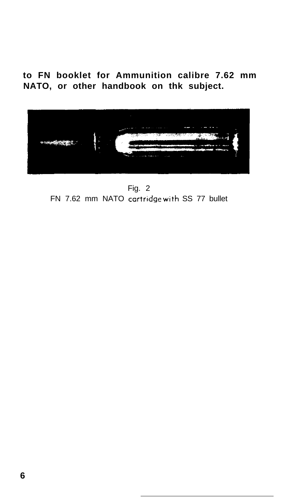**to FN booklet for Ammunition calibre 7.62 mm NATO, or other handbook on thk subject.**



Fig. 2 FN 7.62 mm NATO cartridge with SS 77 bullet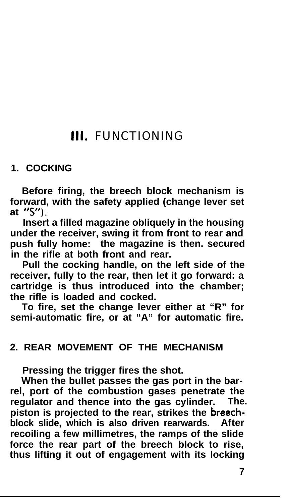## III. FUNCTIONING

## **1. COCKING**

**Before firing, the breech block mechanism is forward, with the safety applied (change lever set at '5").**

**Insert a filled magazine obliquely in the housing under the receiver, swing it from front to rear and push fully home: the magazine is then. secured in the rifle at both front and rear.**

**Pull the cocking handle, on the left side of the receiver, fully to the rear, then let it go forward: a cartridge is thus introduced into the chamber; the rifle is loaded and cocked.**

**To fire, set the change lever either at "R" for semi-automatic fire, or at "A" for automatic fire.**

### **2. REAR MOVEMENT OF THE MECHANISM**

**Pressing the trigger fires the shot.**

**When the bullet passes the gas port in the barrel, port of the combustion gases penetrate the regulator and thence into the gas cylinder. The. piston is projected to the rear, strikes the breechblock slide, which is also driven rearwards. After recoiling a few millimetres, the ramps of the slide force the rear part of the breech block to rise, thus lifting it out of engagement with its locking**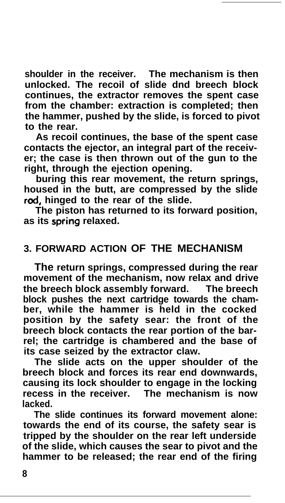**shoulder in the receiver. The mechanism is then unlocked. The recoil of slide dnd breech block continues, the extractor removes the spent case from the chamber: extraction is completed; then the hammer, pushed by the slide, is forced to pivot to the rear.**

**As recoil continues, the base of the spent case contacts the ejector, an integral part of the receiver; the case is then thrown out of the gun to the right, through the ejection opening.**

**buring this rear movement, the return springs, housed in the butt, are compressed by the slide rod, hinged to the rear of the slide.**

**The piston has returned to its forward position,** as its spring relaxed.

## **3. FORWARD ACTION OF THE MECHANISM**

**The return springs, compressed during the rear movement of the mechanism, now relax and drive the breech block assembly forward. The breech block pushes the next cartridge towards the chamber, while the hammer is held in the cocked position by the safety sear: the front of the breech block contacts the rear portion of the barrel; the cartridge is chambered and the base of its case seized by the extractor claw.**

**The slide acts on the upper shoulder of the breech block and forces its rear end downwards, causing its lock shoulder to engage in the locking recess in the receiver. The mechanism is now lacked.**

**The slide continues its forward movement alone: towards the end of its course, the safety sear is tripped by the shoulder on the rear left underside of the slide, which causes the sear to pivot and the hammer to be released; the rear end of the firing**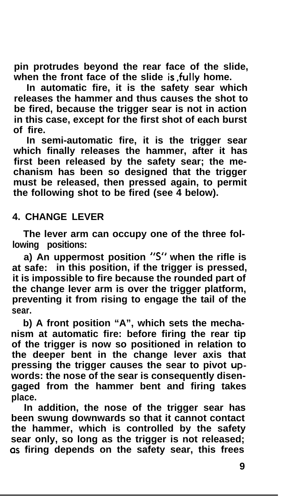**pin protrudes beyond the rear face of the slide, when the front face of the slide is.fully home.**

**In automatic fire, it is the safety sear which releases the hammer and thus causes the shot to be fired, because the trigger sear is not in action in this case, except for the first shot of each burst of fire.**

**In semi-automatic fire, it is the trigger sear which finally releases the hammer, after it has first been released by the safety sear; the mechanism has been so designed that the trigger must be released, then pressed again, to permit the following shot to be fired (see 4 below).**

## **4. CHANGE LEVER**

**The lever arm can occupy one of the three following positions:**

**a) An uppermost position "5" when the rifle is at safe: in this position, if the trigger is pressed, it is impossible to fire because the rounded part of the change lever arm is over the trigger platform, preventing it from rising to engage the tail of the sear.**

**b) A front position "A", which sets the mechanism at automatic fire: before firing the rear tip of the trigger is now so positioned in relation to the deeper bent in the change lever axis that pressing the trigger causes the sear to pivot upwords: the nose of the sear is consequently disengaged from the hammer bent and firing takes place.**

**In addition, the nose of the trigger sear has been swung downwards so that it cannot contact the hammer, which is controlled by the safety sear only, so long as the trigger is not released; OS firing depends on the safety sear, this frees**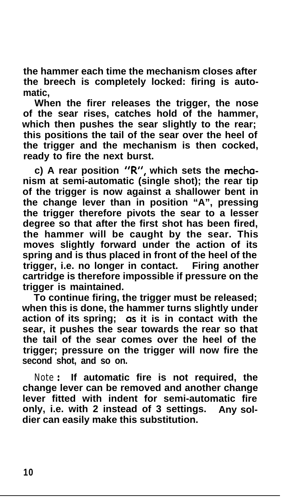**the hammer each time the mechanism closes after the breech is completely locked: firing is automatic,**

**When the firer releases the trigger, the nose of the sear rises, catches hold of the hammer, which then pushes the sear slightly to the rear; this positions the tail of the sear over the heel of the trigger and the mechanism is then cocked, ready to fire the next burst.**

**c) A rear position "R", which sets the mechonism at semi-automatic (single shot); the rear tip of the trigger is now against a shallower bent in the change lever than in position "A", pressing the trigger therefore pivots the sear to a lesser degree so that after the first shot has been fired, the hammer will be caught by the sear. This moves slightly forward under the action of its spring and is thus placed in front of the heel of the trigger, i.e. no longer in contact. Firing another cartridge is therefore impossible if pressure on the trigger is maintained.**

**To continue firing, the trigger must be released; when this is done, the hammer turns slightly under action of its spring; OS it is in contact with the sear, it pushes the sear towards the rear so that the tail of the sear comes over the heel of the trigger; pressure on the trigger will now fire the second shot, and so on.**

Note : **If automatic fire is not required, the change lever can be removed and another change lever fitted with indent for semi-automatic fire only, i.e. with 2 instead of 3 settings. Any soldier can easily make this substitution.**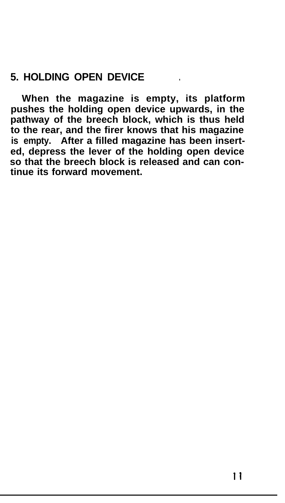## **5. HOLDING OPEN DEVICE .**

**When the magazine is empty, its platform pushes the holding open device upwards, in the pathway of the breech block, which is thus held to the rear, and the firer knows that his magazine is empty. After a filled magazine has been inserted, depress the lever of the holding open device so that the breech block is released and can continue its forward movement.**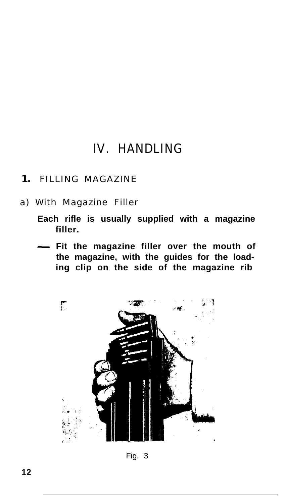# IV. HANDLING

- **1.** FILLING MAGAZINE
- a) With Magazine Filler
	- **Each rifle is usually supplied with a magazine filler.**
	- **- Fit the magazine filler over the mouth of the magazine, with the guides for the loading clip on the side of the magazine rib**



Fig. 3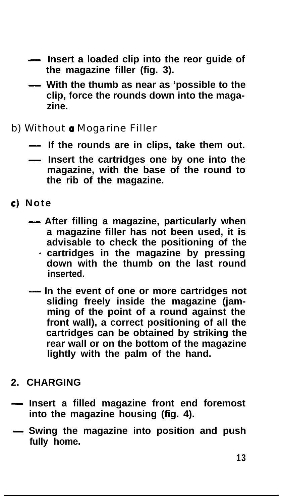- **Insert a loaded clip into the reor guide of the magazine filler (fig. 3).**
- **- With the thumb as near as 'possible to the clip, force the rounds down into the magazine.**
- b) Without **a** Mogarine Filler
	- **If the rounds are in clips, take them out.**
	- **- Insert the cartridges one by one into the magazine, with the base of the round to the rib of the magazine.**
- c) **Note**
	- **After filling a magazine, particularly when a magazine filler has not been used, it is advisable to check the positioning of the** . **cartridges in the magazine by pressing down with the thumb on the last round inserted.**
	- **In the event of one or more cartridges not sliding freely inside the magazine (jamming of the point of a round against the front wall), a correct positioning of all the cartridges can be obtained by striking the rear wall or on the bottom of the magazine lightly with the palm of the hand.**
- **2. CHARGING**
- **Insert a filled magazine front end foremost into the magazine housing (fig. 4).**
- **Swing the magazine into position and push fully home.**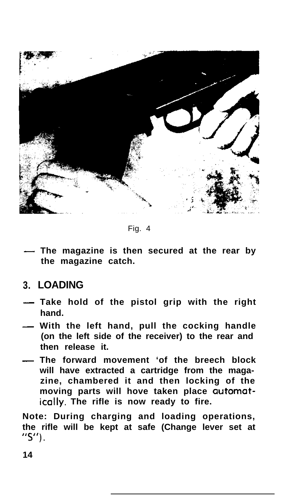

Fig. 4

- **The magazine is then secured at the rear by the magazine catch.**

## **3. LOADING**

- **- - Take hold of the pistol grip with the right hand.**
- **- With the left hand, pull the cocking handle (on the left side of the receiver) to the rear and then release it.**
- **The forward movement 'of the breech block will have extracted a cartridge from the magazine, chambered it and then locking of the moving parts will hove taken place automotically. The rifle is now ready to fire.**

**Note: During charging and loading operations, the rifle will be kept at safe (Change lever set at "5").**

**14**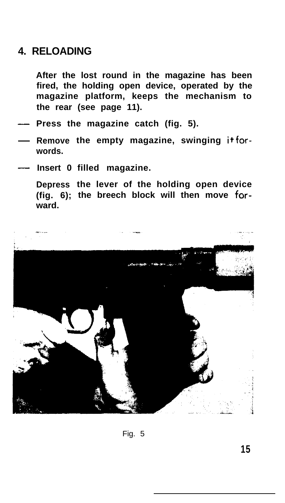## **4. RELOADING**

**After the lost round in the magazine has been fired, the holding open device, operated by the magazine platform, keeps the mechanism to the rear (see page 11).**

- **Press the magazine catch (fig. 5).**
- - **Remove the empty magazine, swinging it forwords.**
- **Insert 0 filled magazine.**

**Depress the lever of the holding open device (fig. 6); the breech block will then move forward.**



Fig. 5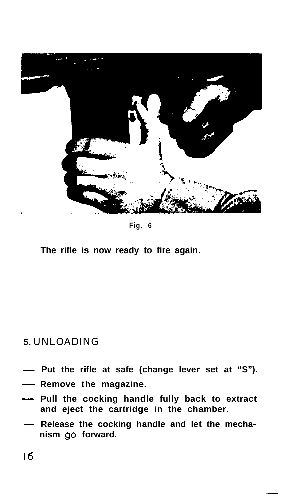

**Fig. 6**

#### **The rifle is now ready to fire again.**

## **5.** UNLOADING

- **Put the rifle at safe (change lever set at "S").**
- Remove the magazine.
- **- Pull the cocking handle fully back to extract and eject the cartridge in the chamber.**
- **- Release the cocking handle and let the mechanism go forward.**

-

**16**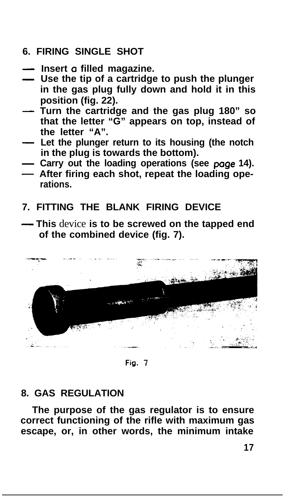# **6. FIRING SINGLE SHOT**  $\overline{\phantom{a}}$

- **Insert a filled magazine.**
- $$ in the gas plug fully down and hold it in this<br>position (fig. 22).<br>— Turn the cartridge and the gas plug 180" so **Use the tip of a cartridge to push the plunger in the gas plug fully down and hold it in this position (fig. 22).**
- **that the letter "G" appears on top, instead of the letter "A".**
- Let the plunger return to its housing (the notch<br>in the plug is towards the bottom).<br>- Carry out the loading operations (see page 14). **Let the plunger return to its housing (the notch in the plug is towards the bottom).**
- 
- in the plug is towards the bottom).<br>
Carry out the loading operations (see page 14).<br>
After firing each shot, repeat the loading ope**rations.**
- **7. FITTING THE BLANK FIRING DEVICE**
- **-- This** device is to be screwed on the tapped end **of the combined device (fig. 7).**



Fig. 7

### **8. GAS REGULATION**

**The purpose of the gas regulator is to ensure correct functioning of the rifle with maximum gas escape, or, in other words, the minimum intake**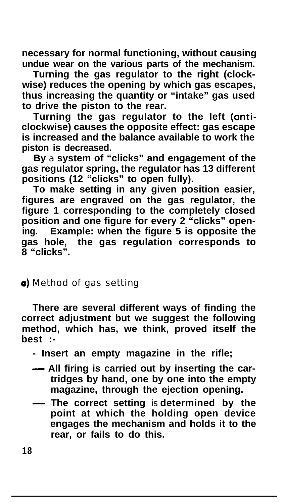**necessary for normal functioning, without causing undue wear on the various parts of the mechanism.**

**Turning the gas regulator to the right (clockwise) reduces the opening by which gas escapes, thus increasing the quantity or "intake" gas used to drive the piston to the rear.**

**Turning the gas regulator to the left (anticlockwise) causes the opposite effect: gas escape is increased and the balance available to work the piston is decreased.**

**By** *a* **system of "clicks" and engagement of the gas regulator spring, the regulator has 13 different positions (12 "clicks" to open fully).**

**To make setting in any given position easier, figures are engraved on the gas regulator, the figure 1 corresponding to the completely closed position and one figure for every 2 "clicks" opening. Example: when the figure 5 is opposite the gas hole, the gas regulation corresponds to 8 "clicks".**

### o) Method of gas setting

**There are several different ways of finding the correct adjustment but we suggest the following method, which has, we think, proved itself the best :-**

- **Insert an empty magazine in the rifle;**
- All firing is carried out by inserting the car**tridges by hand, one by one into the empty magazine, through the ejection opening.**
- **The correct setting** *is* **determined by the point at which the holding open device engages the mechanism and holds it to the rear, or fails to do this.**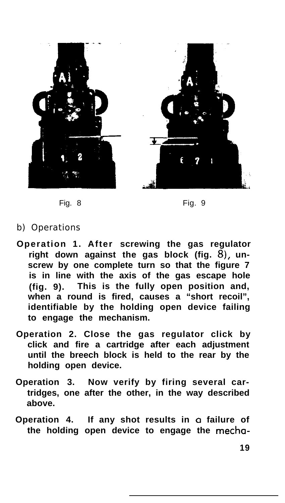

Fig. 8 Fig. 9

- b) Operations
- **Operation 1. After screwing the gas regulator right down against the gas block (fig. 8), unscrew by one complete turn so that the figure 7 is in line with the axis of the gas escape hole (fig. 9). This is the fully open position and, when a round is fired, causes a "short recoil", identifiable by the holding open device failing to engage the mechanism.**
- **Operation 2. Close the gas regulator click by click and fire a cartridge after each adjustment until the breech block is held to the rear by the holding open device.**
- **Operation 3. Now verify by firing several cartridges, one after the other, in the way described above.**
- **Operation 4. If any shot results in a failure of the holding open device to engage the mecha-**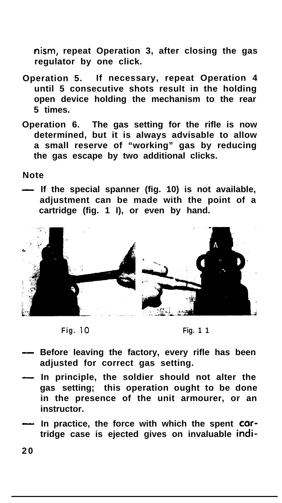**nism, repeat Operation 3, after closing the gas regulator by one click.**

- **Operation 5. If necessary, repeat Operation 4 until 5 consecutive shots result in the holding open device holding the mechanism to the rear 5 times.**
- **Operation 6. The gas setting for the rifle is now determined, but it is always advisable to allow a small reserve of "working" gas by reducing the gas escape by two additional clicks.**

**Note**

**- If the special spanner (fig. 10) is not available, adjustment can be made with the point of a cartridge (fig. 1 I), or even by hand.**



**Fig. IO Fig. 1 1**

- — Before leaving the factory, every rifle has been<br>adjusted for correct gas setting.<br>— In principle, the soldier should not alter the **adjusted for correct gas setting.**
- **In principle, the soldier should not alter the gas setting; this operation ought to be done in the presence of the unit armourer, or an instructor.**
- **In practice, the force with which the spent cortridge case is ejected gives on invaluable indi-**

**2 0**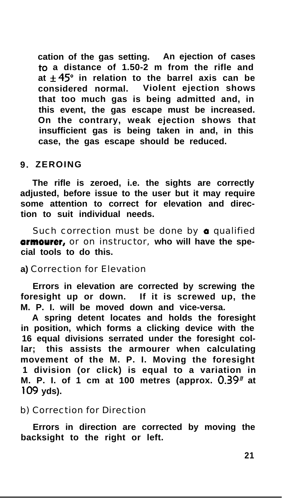**cation of the gas setting. An ejection of cases to a distance of 1.50-2 m from the rifle and** at  $\pm$  45 $^{\circ}$  in relation to the barrel axis can be **considered normal. Violent ejection shows that too much gas is being admitted and, in this event, the gas escape must be increased. On the contrary, weak ejection shows that insufficient gas is being taken in and, in this case, the gas escape should be reduced.**

#### **9. ZEROING**

**The rifle is zeroed, i.e. the sights are correctly adjusted, before issue to the user but it may require some attention to correct for elevation and direction to suit individual needs.**

Such correction must be done by **a** qualified **armourer,** or on instructor, who will have the spe**cial tools to do this.**

**a)** Correction for Elevation

**Errors in elevation are corrected by screwing the foresight up or down. If it is screwed up, the M. P. I. will be moved down and vice-versa.**

**A spring detent locates and holds the foresight in position, which forms a clicking device with the 16 equal divisions serrated under the foresight collar; this assists the armourer when calculating movement of the M. P. I. Moving the foresight 1 division (or click) is equal to a variation in M. P. I. of 1 cm at 100 metres (approx. 0.39" at 109 yds).**

b) Correction for Direction

**Errors in direction are corrected by moving the backsight to the right or left.**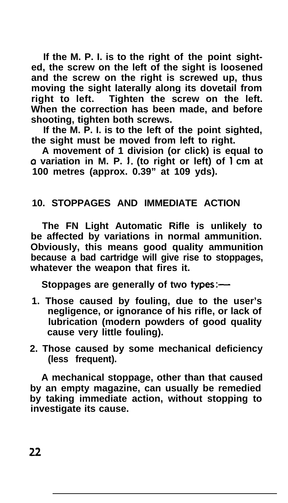**If the M. P. I. is to the right of the point sighted, the screw on the left of the sight is loosened and the screw on the right is screwed up, thus moving the sight laterally along its dovetail from right to left. Tighten the screw on the left. When the correction has been made, and before shooting, tighten both screws.**

**If the M. P. I. is to the left of the point sighted, the sight must be moved from left to right.**

**A movement of 1 division (or click) is equal to a variation in M. P. I. (to right or left) of** 1 **cm at 100 metres (approx. 0.39" at 109 yds).**

## **10. STOPPAGES AND IMMEDIATE ACTION**

**The FN Light Automatic Rifle is unlikely to be affected by variations in normal ammunition. Obviously, this means good quality ammunition because a bad cartridge will give rise to stoppages, whatever the weapon that fires it.**

**Stoppages are generally of two types:-**

- **1. Those caused by fouling, due to the user's negligence, or ignorance of his rifle, or lack of lubrication (modern powders of good quality cause very little fouling).**
- **2. Those caused by some mechanical deficiency (less frequent).**

**A mechanical stoppage, other than that caused by an empty magazine, can usually be remedied by taking immediate action, without stopping to investigate its cause.**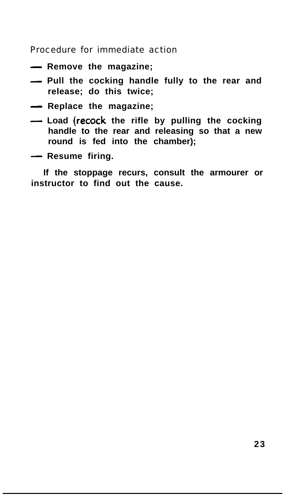Procedure for immediate action

- - **Remove the magazine;**
- **Pull the cocking handle fully to the rear and release; do this twice;**
- **Replace the magazine;**
- **Load (recock the rifle by pulling the cocking handle to the rear and releasing so that a new round is fed into the chamber);**
- - **Resume firing.**

**If the stoppage recurs, consult the armourer or instructor to find out the cause.**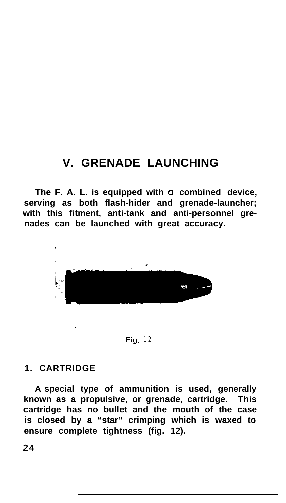## **V. GRENADE LAUNCHING**

**The F. A. L. is equipped with a combined device, serving as both flash-hider and grenade-launcher; with this fitment, anti-tank and anti-personnel grenades can be launched with great accuracy.**



Fig. 12

#### **1. CARTRIDGE**

.

**A special type of ammunition is used, generally known as a propulsive, or grenade, cartridge. This cartridge has no bullet and the mouth of the case is closed by a "star" crimping which is waxed to ensure complete tightness (fig. 12).**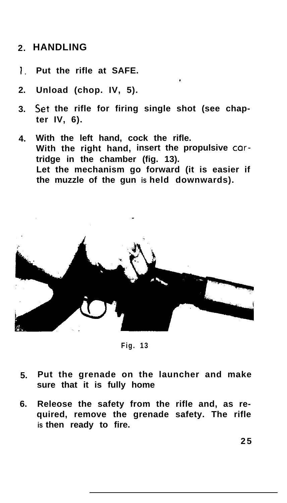#### **2. HANDLING**

- **I. Put the rifle at SAFE.**
- **2. Unload (chop. IV, 5).**
- **3.** Set **the rifle for firing single shot (see chapter IV, 6).**
- **4. With the left hand, cock the rifle. With the right hand, insert the propulsive cortridge in the chamber (fig. 13). Let the mechanism go forward (it is easier if the muzzle of the gun is held downwards).**



**Fig. 13**

- **5. Put the grenade on the launcher and make sure that it is fully home**
- **6. Releose the safety from the rifle and, as required, remove the grenade safety. The rifle is then ready to fire.**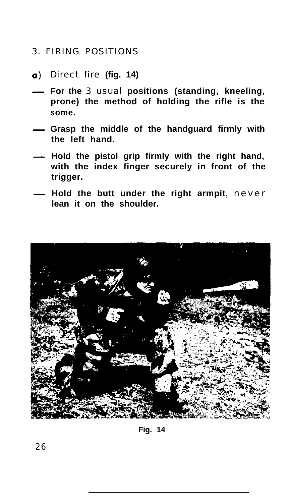- 3. FIRING POSITIONS
- 0)
- **a**) Direct fire **(fig. 14)**<br>— For the 3 usual po - **For the** 3 usual **positions (standing, kneeling, prone) the method of holding the rifle is the some.**
- **Grasp the middle of the handguard firmly with the left hand.**
- - **Hold the pistol grip firmly with the right hand, with the index finger securely in front of the trigger.**
- **Hold the butt under the right armpit,** never **lean it on the shoulder.**



**Fig. 14**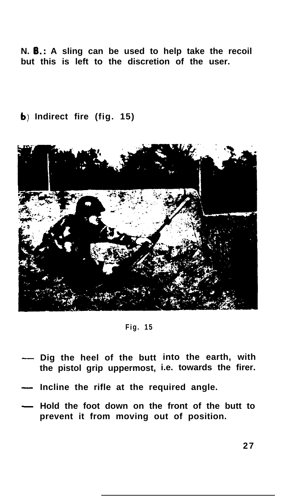**N. 6.: A sling can be used to help take the recoil but this is left to the discretion of the user.**

**b) Indirect fire (fig. 15)**



**Fig. 15**

- - **Dig the heel of the butt into the earth, with the pistol grip uppermost, i.e. towards the firer.**
- **Incline the rifle at the required angle.**
- **Hold the foot down on the front of the butt to prevent it from moving out of position.**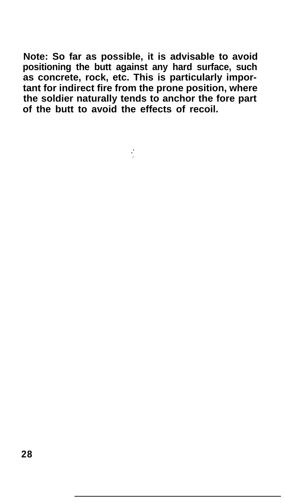**Note: So far as possible, it is advisable to avoid positioning the butt against any hard surface, such as concrete, rock, etc. This is particularly important for indirect fire from the prone position, where the soldier naturally tends to anchor the fore part of the butt to avoid the effects of recoil.**

, :.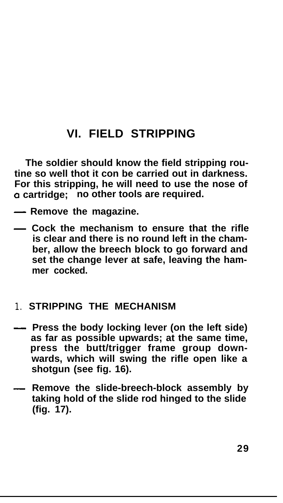## **VI. FIELD STRIPPING**

**The soldier should know the field stripping routine so well thot it con be carried out in darkness. For this stripping, he will need to use the nose of a cartridge; no other tools are required. - Remove the magazine.**

- 
- **- Cock the mechanism to ensure that the rifle is clear and there is no round left in the chamber, allow the breech block to go forward and set the change lever at safe, leaving the hammer cocked.**

## 1. **STRIPPING THE MECHANISM**

- **Press the body locking lever (on the left side) as far as possible upwards; at the same time, press the butt/trigger frame group downwards, which will swing the rifle open like a shotgun (see fig. 16).**
- **Remove the slide-breech-block assembly by taking hold of the slide rod hinged to the slide (fig. 17).**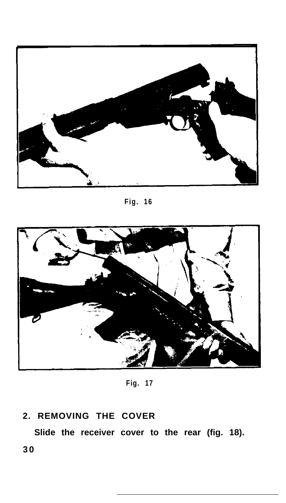

**Fig. 16**



**Fig. 17**

#### **2. REMOVING THE COVER**

**Slide the receiver cover to the rear (fig. 18). 3 0**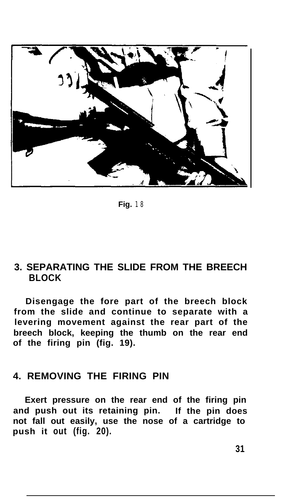

**Fig.** 18

#### **3. SEPARATING THE SLIDE FROM THE BREECH BLOCK**

**Disengage the fore part of the breech block from the slide and continue to separate with a levering movement against the rear part of the breech block, keeping the thumb on the rear end of the firing pin (fig. 19).**

#### **4. REMOVING THE FIRING PIN**

**Exert pressure on the rear end of the firing pin and push out its retaining pin. If the pin does not fall out easily, use the nose of a cartridge to push it out (fig. 20).**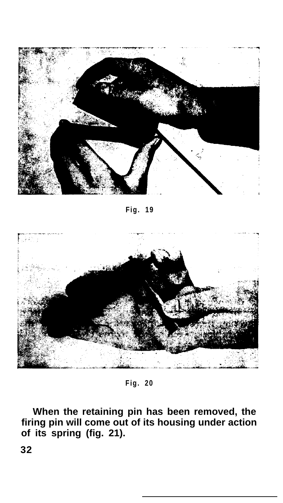

**Fig. 19**



**Fig. 20**

**When the retaining pin has been removed, the firing pin will come out of its housing under action of its spring (fig. 21).**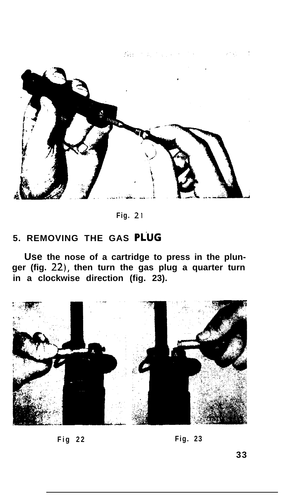

**Fig. 21**

## **5. REMOVING THE GAS PLUG**

**Use the nose of a cartridge to press in the plunger (fig. 22), then turn the gas plug a quarter turn in a clockwise direction (fig. 23).**



**Fig 22 Fig. 23**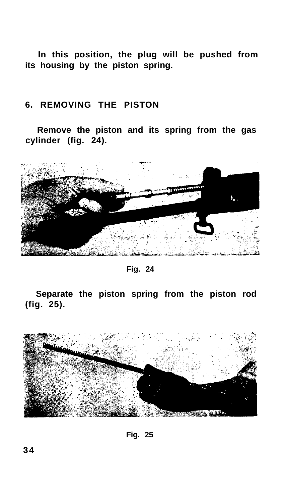**In this position, the plug will be pushed from its housing by the piston spring.**

#### **6. REMOVING THE PISTON**

**Remove the piston and its spring from the gas cylinder (fig. 24).**



**Fig. 24**

**Separate the piston spring from the piston rod (fig. 25).**



**Fig. 25**

**34**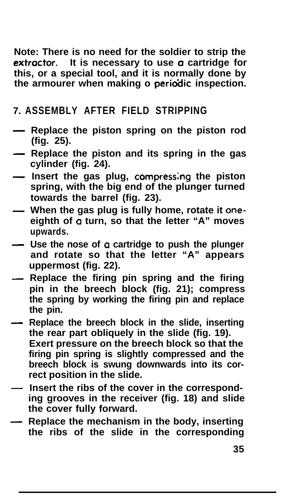**Note: There is no need for the soldier to strip the extractor. It is necessary to use a cartridge for this, or a special tool, and it is normally done by** the armourer when making o periodic inspection.

## **7. ASSEMBLY AFTER FIELD STRIPPING**

- **7. ASSEMBLY AFTER FIELD STRIPPING**<br>— Replace the piston spring on the piston rod — Replace the piston spring on the piston rod<br>(fig. 25).<br>— Replace the piston and its spring in the gas **(fig. 25).**
- **IXALLET THE SET EXEL THE SET EXEL THE SET EXEL THE SET EXEL THE PISTON THE PISTON THE PISTON THE PISTON THE PISTON THE PISTON THE PISTON THE PISTON THE PISTON THE PISTON THE PISTON THE PISTON THE PISTON THE PISTON THE PIS cylinder (fig. 24).**
- spring, with the big end of the plunger turned<br>towards the barrel (fig. 23).<br>— When the gas plug is fully home, rotate it one**spring, with the big end of the plunger turned towards the barrel (fig. 23).**
- eighth of a turn, so that the letter "A" moves<br>upwards.<br>— Use the nose of a cartridge to push the plunger **eighth of a turn, so that the letter "A" moves upwards.**
- **and rotate so that the letter "A" appears uppermost (fig. 22).**
- the spring by working the firing pin and replace<br>the pin.<br>— Replace the breech block in the slide, inserting **Replace the firing pin spring and the firing pin in the breech block (fig. 21); compress the spring by working the firing pin and replace the pin.**
- **the rear part obliquely in the slide (fig. 19). Exert pressure on the breech block so that the firing pin spring is slightly compressed and the breech block is swung downwards into its correct position in the slide.**
- - Insert the ribs of the cover in the correspond**ing grooves in the receiver (fig. 18) and slide the cover fully forward.**
- **Replace the mechanism in the body, inserting the ribs of the slide in the corresponding**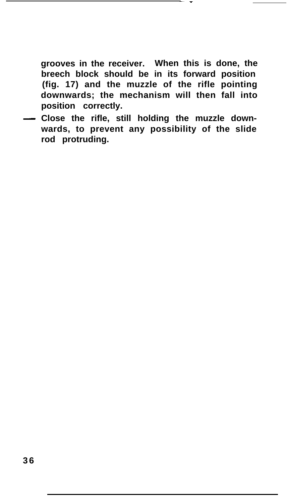**grooves in the receiver. When this is done, the breech block should be in its forward position (fig. 17) and the muzzle of the rifle pointing downwards; the mechanism will then fall into position correctly.**

**- Close the rifle, still holding the muzzle downwards, to prevent any possibility of the slide rod protruding.**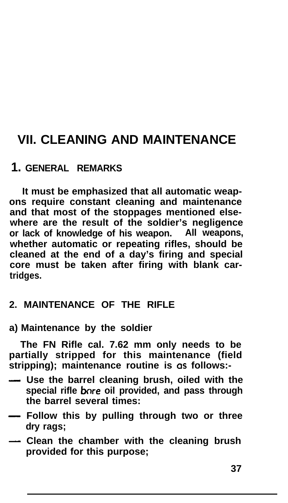# **VII. CLEANING AND MAINTENANCE**

## **1. GENERAL REMARKS**

**It must be emphasized that all automatic weapons require constant cleaning and maintenance and that most of the stoppages mentioned elsewhere are the result of the soldier's negligence or lack of knowledge of his weapon. All weapons, whether automatic or repeating rifles, should be cleaned at the end of a day's firing and special core must be taken after firing with blank cartridges.**

## **2. MAINTENANCE OF THE RIFLE**

### **a) Maintenance by the soldier**

**The FN Rifle cal. 7.62 mm only needs to be partially stripped for this maintenance (field** partially stripped for this maintenance (fierd)<br>stripping); maintenance routine is as follows:-<br> **--** Use the barrel cleaning brush, oiled with t

- special rifle pore oil provided, and pass through<br>the barrel several times:<br>— Follow this by pulling through two or three **Use the barrel cleaning brush, oiled with the special rifle bore oil provided, and pass through the barrel several times:**
- -- Follow this by pulling through two or three<br>dry rags;<br>-- Clean the chamber with the cleaning brush **dry rags;**
- **provided for this purpose;**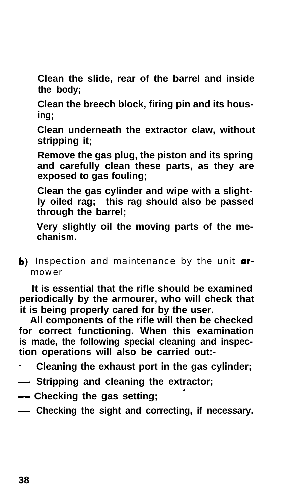**Clean the slide, rear of the barrel and inside the body;**

**Clean the breech block, firing pin and its housing;**

**Clean underneath the extractor claw, without stripping it;**

**Remove the gas plug, the piston and its spring and carefully clean these parts, as they are exposed to gas fouling;**

**Clean the gas cylinder and wipe with a slightly oiled rag; this rag should also be passed through the barrel;**

**Very slightly oil the moving parts of the mechanism.**

b) Inspection and maintenance by the unit **ar**mower

**It is essential that the rifle should be examined periodically by the armourer, who will check that it is being properly cared for by the user.**

**All components of the rifle will then be checked for correct functioning. When this examination is made, the following special cleaning and inspection operations will also be carried out:-**

- **- Cleaning the exhaust port in the gas cylinder; - Stripping and cleaning the extractor;**
- Stripping and cleaning the extr<br>— Checking the gas setting;
- 
- -- Checking the gas setting;<br>- Checking the sight and correcting, if necessary.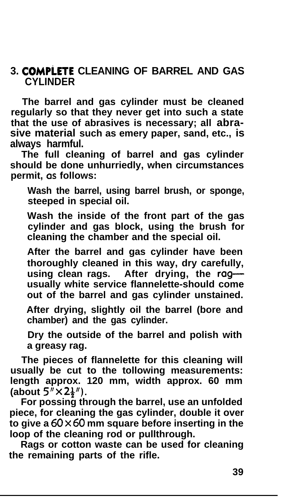## **3. COMPLETE CLEANING OF BARREL AND GAS CYLINDER**

**The barrel and gas cylinder must be cleaned regularly so that they never get into such a state that the use of abrasives is necessary; all abrasive material such as emery paper, sand, etc., is always harmful.**

**The full cleaning of barrel and gas cylinder should be done unhurriedly, when circumstances permit, 0s follows:**

**Wash the barrel, using barrel brush, or sponge, steeped in special oil.**

**Wash the inside of the front part of the gas cylinder and gas block, using the brush for cleaning the chamber and the special oil.**

**After the barrel and gas cylinder have been thoroughly cleaned in this way, dry carefully, using clean rags. After drying, the ragusually white service flannelette-should come out of the barrel and gas cylinder unstained.**

**After drying, slightly oil the barrel (bore and chamber) and the gas cylinder.**

**Dry the outside of the barrel and polish with a greasy rag.**

**The pieces of flannelette for this cleaning will usually be cut to the tollowing measurements: length approx. 120 mm, width approx. 60 mm**  $(about 5<sup>*h*</sup> \times 2<sup>{1}</sup><sub>*h*</sub>)$ .

**For possing through the barrel, use an unfolded piece, for cleaning the gas cylinder, double it over to give a 60x60 mm square before inserting in the loop of the cleaning rod or pullthrough.**

**Rags or cotton waste can be used for cleaning the remaining parts of the rifle.**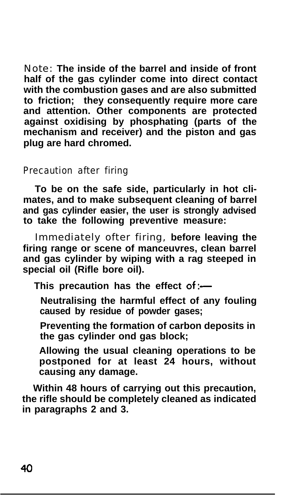Note: **The inside of the barrel and inside of front half of the gas cylinder come into direct contact with the combustion gases and are also submitted to friction; they consequently require more care and attention. Other components are protected against oxidising by phosphating (parts of the mechanism and receiver) and the piston and gas plug are hard chromed.**

## Precaution after firing

**To be on the safe side, particularly in hot climates, and to make subsequent cleaning of barrel and gas cylinder easier, the user is strongly advised to take the following preventive measure:**

Immediately ofter firing, **before leaving the firing range or scene of manceuvres, clean barrel and gas cylinder by wiping with a rag steeped in special oil (Rifle bore oil).**

**This precaution has the effect of:-**

**Neutralising the harmful effect of any fouling caused by residue of powder gases;**

**Preventing the formation of carbon deposits in the gas cylinder ond gas block;**

**Allowing the usual cleaning operations to be postponed for at least 24 hours, without causing any damage.**

**Within 48 hours of carrying out this precaution, the rifle should be completely cleaned as indicated in paragraphs 2 and 3.**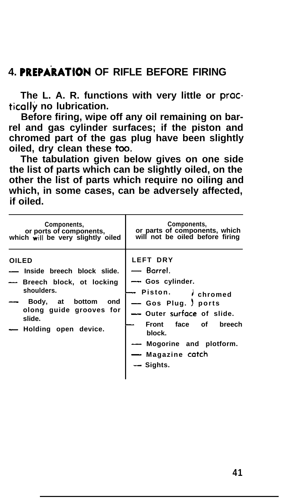## **4. PREPAkATlON OF RIFLE BEFORE FIRING**

**The L. A. R. functions with very little or procticolly no lubrication.**

**Before firing, wipe off any oil remaining on barrel and gas cylinder surfaces; if the piston and chromed part of the gas plug have been slightly oiled, dry clean these too.**

**The tabulation given below gives on one side the list of parts which can be slightly oiled, on the other the list of parts which require no oiling and which, in some cases, can be adversely affected, if oiled.**

| Components,                                                                                                                                                                    | Components,                                                                                                                                                                                                                           |
|--------------------------------------------------------------------------------------------------------------------------------------------------------------------------------|---------------------------------------------------------------------------------------------------------------------------------------------------------------------------------------------------------------------------------------|
| or ports of components,                                                                                                                                                        | or parts of components, which                                                                                                                                                                                                         |
| which will be very slightly oiled                                                                                                                                              | will not be oiled before firing                                                                                                                                                                                                       |
| <b>OILED</b><br>- Inside breech block slide.<br>- Breech block, ot locking<br>shoulders.<br>Body, at bottom ond<br>olong quide grooves for<br>slide.<br>— Holding open device. | <b>LEFT DRY</b><br>— Barrel.<br>- Gos cylinder.<br>- Piston.<br>$\lambda$ chromed<br>- Gos Plug. ) ports<br>—— Outer surface of slide.<br>Front face of breech<br>block.<br>- Mogorine and plotform.<br>— Magazine cotch<br>— Sights. |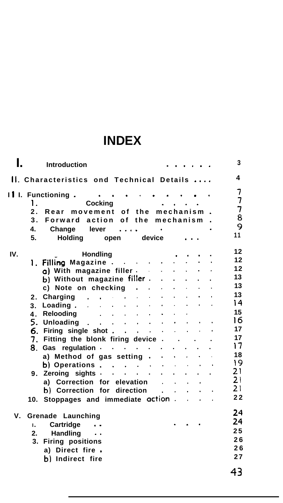# **INDEX**

|                              | Introduction                                                                                                                                                                                                 |        |    |   | 3                    |
|------------------------------|--------------------------------------------------------------------------------------------------------------------------------------------------------------------------------------------------------------|--------|----|---|----------------------|
|                              | II. Characteristics ond Technical Details                                                                                                                                                                    |        |    |   | 4                    |
| 1.<br>$\overline{2}$ .<br>3. | III. Functioning.<br>$\cdot$ $\cdot$ $\cdot$<br>$\bullet$<br>Cockina<br>Rear movement of the mechanism<br>of the mechanism<br>Forward action                                                                 |        |    |   | 7<br>7<br>7<br>8     |
| 4.<br>5.                     | Change lever<br>.<br>Holding open<br>device                                                                                                                                                                  |        |    |   | 9<br>11              |
|                              |                                                                                                                                                                                                              |        |    |   |                      |
| IV.                          | Hondlina<br>1. Filling Magazine.<br>a) With magazine filler                                                                                                                                                  |        |    |   | 12<br>12<br>12       |
|                              | b) Without magazine filler.<br>c) Note on checking                                                                                                                                                           |        |    |   | 13<br>13             |
| 3.                           | and a strong control of the state<br>2. Charging<br>$\mathcal{L}^{\text{max}}$<br>Loading,                                                                                                                   |        | ï. | ï | 13<br>14             |
|                              | $\mathcal{L}^{\text{max}}$ , where $\mathcal{L}^{\text{max}}$<br>4. Relooding<br>$\mathcal{L}^{\text{max}}$<br>$\mathbf{L} = \mathbf{L} \times \mathbf{L}$<br>5. Unloading<br>$\sim$<br>$\ddot{\phantom{0}}$ |        |    |   | 15<br>16             |
|                              | 6. Firing single shot $\cdots$<br>$\blacksquare$<br>7. Fitting the blonk firing device.                                                                                                                      | $\sim$ |    |   | 17<br>17             |
|                              | 8. Gas regulation<br>a) Method of gas setting $\cdot$<br>$\ddot{\phantom{0}}$                                                                                                                                |        |    |   | 17<br>18             |
|                              | b) Operations<br>$\ddot{\phantom{0}}$<br>9. Zeroing sights                                                                                                                                                   |        |    |   | 19<br>21<br>21       |
|                              | a) Correction for elevation<br>$\ddot{\phantom{a}}$<br>b) Correction for direction<br>10. Stoppages and immediate gotion.                                                                                    |        |    |   | 21<br>22             |
|                              |                                                                                                                                                                                                              |        |    |   | 24                   |
| V.<br>2.                     | Grenade Launching<br>I. Cartridge<br>Handling<br>$\ddot{\phantom{0}}$<br>3. Firing positions                                                                                                                 |        |    |   | 24<br>25<br>26<br>26 |
|                              | a) Direct fire.<br>b) Indirect fire                                                                                                                                                                          |        |    |   | 27<br>43             |
|                              |                                                                                                                                                                                                              |        |    |   |                      |